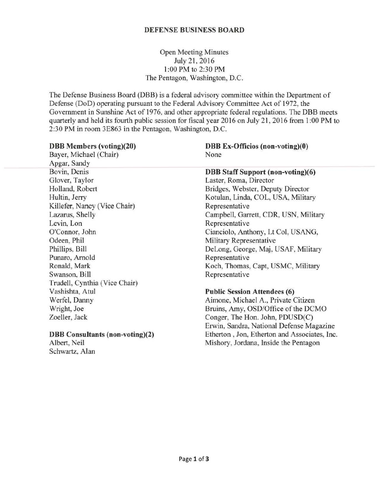# DEFENSE BUSINESS BOARD

Open Meeting Minutes July 21, 2016 1 :00 PM to 2:30 PM The Pentagon, Washington, D.C.

The Defense Business Board (DBB) is a federal advisory committee within the Department of Defense (DoD) operating pursuant to the Federal Advisory Committee Act of 1972, the Government in Sunshine Act of 1976, and other appropriate federal regulations. The DBB meets quarterly and held its fourth public session for fiscal year 2016 on July 21, 2016 from 1:00 PM to 2:30 PM in room 3E863 in the Pentagon, Washington, D.C.

| <b>DBB</b> Members (voting)(20)        | DBB Ex-Officios (non-voting)(0)              |
|----------------------------------------|----------------------------------------------|
| Bayer, Michael (Chair)                 | None                                         |
| Apgar, Sandy                           |                                              |
| Bovin, Denis                           | <b>DBB Staff Support (non-voting)(6)</b>     |
| Glover, Taylor                         | Laster, Roma, Director                       |
| Holland, Robert                        | Bridges, Webster, Deputy Director            |
| Hultin, Jerry                          | Kotulan, Linda, COL, USA, Military           |
| Killefer, Nancy (Vice Chair)           | Representative                               |
| Lazarus, Shelly                        | Campbell, Garrett, CDR, USN, Military        |
| Levin, Lon                             | Representative                               |
| O'Connor, John                         | Cianciolo, Anthony, Lt Col, USANG,           |
| Odeen, Phil                            | Military Representative                      |
| Phillips, Bill                         | DeLong, George, Maj, USAF, Military          |
| Punaro, Arnold                         | Representative                               |
| Ronald, Mark                           | Koch, Thomas, Capt, USMC, Military           |
| Swanson, Bill                          | Representative                               |
| Trudell, Cynthia (Vice Chair)          |                                              |
| Vashishta, Atul                        | <b>Public Session Attendees (6)</b>          |
| Werfel, Danny                          | Aimone, Michael A., Private Citizen          |
| Wright, Joe                            | Bruins, Amy, OSD/Office of the DCMO          |
| Zoeller, Jack                          | Conger, The Hon. John, PDUSD(C)              |
|                                        | Erwin, Sandra, National Defense Magazine     |
| <b>DBB</b> Consultants (non-voting)(2) | Etherton, Jon, Etherton and Associates, Inc. |
| Albert, Neil                           | Mishory, Jordana, Inside the Pentagon        |

Schwartz, Alan

Page 1 of 3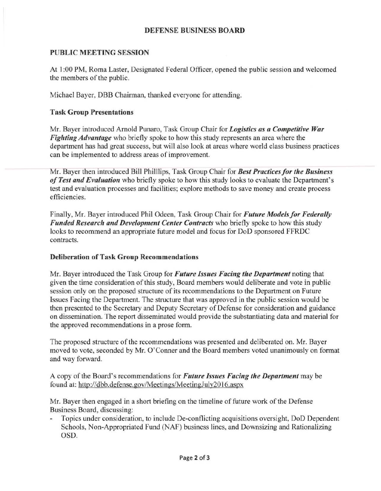## DEFENSE BUSINESS BOARD

## PUBLIC MEETING SESSION

At 1:00 PM, Roma Laster, Designated Federal Officer, opened the public session and welcomed the members of the public.

Michael Bayer, DBB Chairman, thanked everyone for attending.

## Task Group Presentations

Mr. Bayer introduced Arnold Punaro, Task Group Chair for *Logistics as a Competitive War Figltting Advantage* who briefly spoke to how this study represents an area where the department has had great success, but will also look at areas where world class business practices can be implemented to address areas of improvement.

Mr. Bayer then introduced Bill Philllips, Task Group Chair for *Best Practices for the Business of Test and Evaluation* who briefly spoke to how this study looks to evaluate the Department's test and evaluation processes and facilities; explore methods to save money and create process efficiencies.

Finally, Mr. Bayer introduced Phil Odeen, Task Group Chair for *Future Models for Federally Funded Research and Development Center Contracts* who briefly spoke to how this study looks to recommend an appropriate future model and focus for DoD sponsored FFRDC contracts.

#### Deliberation of Task Group Recommendations

Mr. Bayer introduced the Task Group for *Future Issues Facing the Department* noting that given the time consideration of this study, Board members would deliberate and vote in public session only on the proposed structure of its recommendations to the Department on Future Issues Facing the Department. The structure that was approved in the public session would be then presented to the Secretary and Deputy Secretary of Defense for consideration and guidance on dissemination. The report disseminated would provide the substantiating data and material for the approved recommendations in a prose form.

The proposed structure of the recommendations was presented and deliberated on. Mr. Bayer moved to vote, seconded by Mr. O'Conner and the Board members voted unanimously on format and way forward.

A copy of the Board's recommendations for *Future Issues Facing the Department* may be found at: http://dbb.defense.gov/Meetings/MeetingJuly2016.aspx

Mr. Bayer then engaged in a short briefing on the timeline of future work of the Defense Business Board, discussing:

Topics under consideration, to include De-conflicting acquisitions oversight, DoD Dependent Schools, Non-Appropriated Fund (NAF) business lines, and Downsizing and Rationalizing OSD.